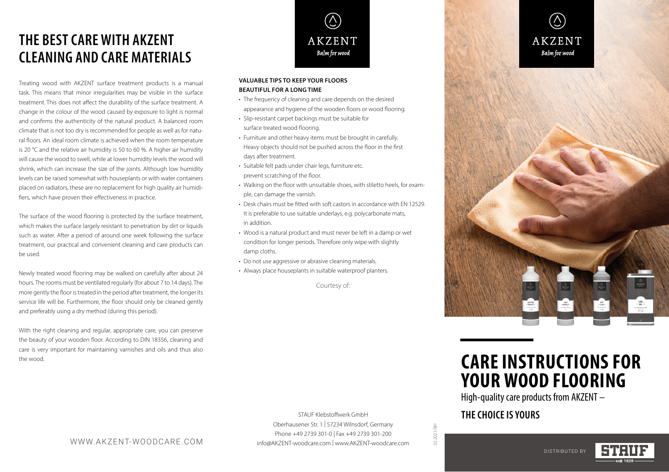# **THE BEST CARE WITH AKZENT CLEANING AND CARE MATERIALS**

Treating wood with AKZENT surface treatment products is a manual task. This means that minor irregularities may be visible in the surface treatment. This does not affect the durability of the surface treatment. A change in the colour of the wood caused by exposure to light is normal and confirms the authenticity of the natural product. A balanced room climate that is not too dry is recommended for people as well as for natural floors. An ideal room climate is achieved when the room temperature is 20 °C and the relative air humidity is 50 to 60 %. A higher air humidity will cause the wood to swell, while at lower humidity levels the wood will shrink, which can increase the size of the joints. Although low humidity levels can be raised somewhat with houseplants or with water containers placed on radiators, these are no replacement for high quality air humidifiers, which have proven their effectiveness in practice.

The surface of the wood flooring is protected by the surface treatment, which makes the surface largely resistant to penetration by dirt or liquids such as water. After a period of around one week following the surface treatment, our practical and convenient cleaning and care products can be used.

Newly treated wood flooring may be walked on carefully after about 24 hours. The rooms must be ventilated regularly (for about 7 to 14 days). The more gently the floor is treated in the period after treatment, the longer its service life will be. Furthermore, the floor should only be cleaned gently and preferably using a dry method (during this period).

With the right cleaning and regular, appropriate care, you can preserve the beauty of your wooden floor. According to DIN 18356, cleaning and care is very important for maintaining varnishes and oils and thus also the wood.



#### **VALUABLE TIPS TO KEEP YOUR FLOORS BEAUTIFUL FOR A LONG TIME**

- The frequency of cleaning and care depends on the desired appearance and hygiene of the wooden floors or wood flooring.
- Slip-resistant carpet backings must be suitable for surface treated wood flooring.
- Furniture and other heavy items must be brought in carefully. Heavy objects should not be pushed across the floor in the first days after treatment.
- Suitable felt pads under chair legs, furniture etc. prevent scratching of the floor.
- Walking on the floor with unsuitable shoes, with stiletto heels, for example, can damage the varnish.
- Desk chairs must be fitted with soft castors in accordance with EN 12529. It is preferable to use suitable underlays, e.g. polycarbonate mats, in addition.
- Wood is a natural product and must never be left in a damp or wet condition for longer periods. Therefore only wipe with slightly damp cloths.
- Do not use aggressive or abrasive cleaning materials.
- Always place houseplants in suitable waterproof planters.

Courtesy of:

Oberhausener Str. 1 | 57234 Wilnsdorf, Germany Phone +49 2739 301-0 | Fax +49 2739 301-200 info@AKZENT-woodcare.com | www.AKZENT-woodcare.com

WWW.AKZENT-WOODCARE.COM

 $(\bigcirc)$ **AKZENT** Balm for wood



# **CARE INSTRUCTIONS FOR YOUR WOOD FLOORING**

High-quality care products from AKZENT –

### STAUF Klebstoffwerk GmbH **THE CHOICE IS YOURS**

02.2021/BH

02.2021/BH